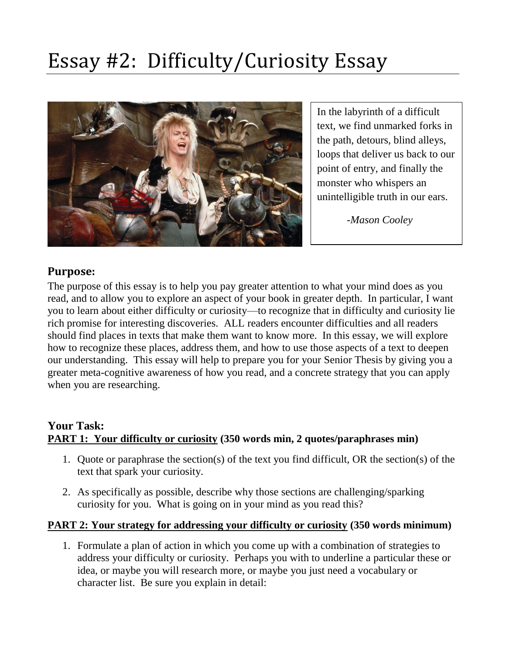# Essay #2: Difficulty/Curiosity Essay



In the labyrinth of a difficult text, we find unmarked forks in the path, detours, blind alleys, loops that deliver us back to our point of entry, and finally the monster who whispers an unintelligible truth in our ears.

*-Mason Cooley*

## **Purpose:**

The purpose of this essay is to help you pay greater attention to what your mind does as you read, and to allow you to explore an aspect of your book in greater depth. In particular, I want you to learn about either difficulty or curiosity—to recognize that in difficulty and curiosity lie rich promise for interesting discoveries. ALL readers encounter difficulties and all readers should find places in texts that make them want to know more. In this essay, we will explore how to recognize these places, address them, and how to use those aspects of a text to deepen our understanding. This essay will help to prepare you for your Senior Thesis by giving you a greater meta-cognitive awareness of how you read, and a concrete strategy that you can apply when you are researching.

## **Your Task: PART 1: Your difficulty or curiosity (350 words min, 2 quotes/paraphrases min)**

- 1. Quote or paraphrase the section(s) of the text you find difficult, OR the section(s) of the text that spark your curiosity.
- 2. As specifically as possible, describe why those sections are challenging/sparking curiosity for you. What is going on in your mind as you read this?

#### **PART 2: Your strategy for addressing your difficulty or curiosity (350 words minimum)**

1. Formulate a plan of action in which you come up with a combination of strategies to address your difficulty or curiosity. Perhaps you with to underline a particular these or idea, or maybe you will research more, or maybe you just need a vocabulary or character list. Be sure you explain in detail: